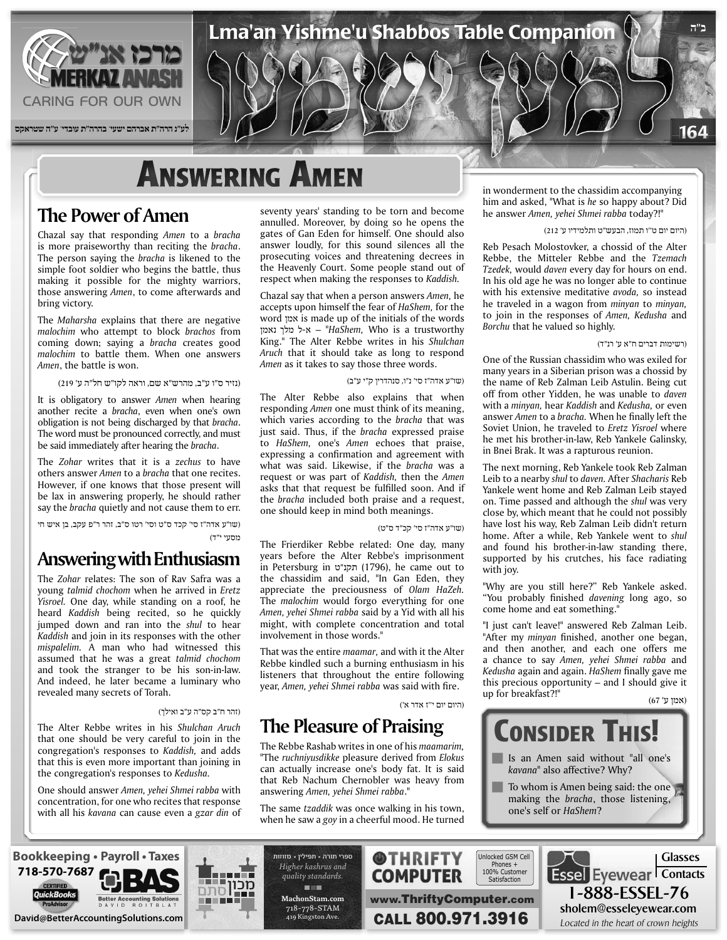

## **ANSWERING AMEN**

#### **The Power of Amen**

Chazal say that responding Amen to a bracha is more praiseworthy than reciting the bracha. The person saying the bracha is likened to the simple foot soldier who begins the battle, thus making it possible for the mighty warriors, those answering Amen, to come afterwards and bring victory.

The *Maharsha* explains that there are negative *malochim* who attempt to block brachos from coming down; saying a bracha creates good malochim to battle them. When one answers Amen, the battle is won.

(נזיר ס"ו ע"ב, מהרש"א שם, וראה לקו"ש חל"ה ע' 219)

It is obligatory to answer *Amen* when hearing another recite a *bracha*, even when one's own obligation is not being discharged by that *bracha*. The word must be pronounced correctly, and must be said immediately after hearing the *bracha*.

The *Zohar* writes that it is a zechus to have others answer *Amen* to a *bracha* that one recites. However, if one knows that those present will be lax in answering properly, he should rather say the *bracha* quietly and not cause them to err.

(שו"ע אדה"ז סי' קכד ס"ט וסי' רטו ס"ב, זהר ר"פ עקב, בן איש חי מסעי י"ד)

### **Enthusiasm with Answering**

The Zohar relates: The son of Rav Safra was a young *talmid* chochom when he arrived in *Eretz* Yisroel. One day, while standing on a roof, he heard Kaddish being recited, so he quickly jumped down and ran into the *shul* to hear Kaddish and join in its responses with the other mispalelim. A man who had witnessed this assumed that he was a great talmid chochom and took the stranger to be his son-in-law. And indeed, he later became a luminary who revealed many secrets of Torah.

#### (זהר ח"ב קס"ה ע"ב ואילך)

The Alter Rebbe writes in his Shulchan Aruch that one should be very careful to join in the congregation's responses to Kaddish, and adds that this is even more important than joining in the congregation's responses to Kedusha.

One should answer Amen, yehei Shmei rabba with concentration, for one who recites that response with all his *kavana* can cause even a gzar din of seventy years' standing to be torn and become annulled. Moreover, by doing so he opens the gates of Gan Eden for himself. One should also answer loudly, for this sound silences all the prosecuting voices and threatening decrees in the Heavenly Court. Some people stand out of respect when making the responses to Kaddish.

Chazal say that when a person answers Amen, he accepts upon himself the fear of *HaShem*, for the word אמן is made up of the initials of the words trustworthy a is Who *,HaShem* – "א-ל מלך נאמן King." The Alter Rebbe writes in his Shulchan Aruch that it should take as long to respond Amen as it takes to say those three words.

#### (שו"ע אדה"ז סי' נ"ו, סנהדרין ק"י ע"ב)

The Alter Rebbe also explains that when responding Amen one must think of its meaning, which varies according to the *bracha* that was just said. Thus, if the bracha expressed praise to *HaShem*, one's *Amen* echoes that praise, expressing a confirmation and agreement with what was said. Likewise, if the *bracha* was a request or was part of *Kaddish*, then the *Amen* asks that that request be fulfilled soon. And if the *bracha* included both praise and a request, one should keep in mind both meanings.

(שו"ע אדה"ז סי' קכ"ד ס"ט)

The Frierdiker Rebbe related: One day, many years before the Alter Rebbe's imprisonment to out came he ,)1796 (תקנ"ט in Petersburg in the chassidim and said, "In Gan Eden, they appreciate the preciousness of Olam HaZeh. The *malochim* would forgo everything for one Amen, yehei Shmei rabba said by a Yid with all his might, with complete concentration and total involvement in those words."

That was the entire *maamar*, and with it the Alter Rebbe kindled such a burning enthusiasm in his listeners that throughout the entire following year, Amen, yehei Shmei rabba was said with fire.

(היום יום י''ז אדר א')

#### **The Pleasure of Praising**

The Rebbe Rashab writes in one of his *maamarim*, "The ruchniyusdikke pleasure derived from Elokus can actually increase one's body fat. It is said that Reb Nachum Chernobler was heavy from answering Amen, yehei Shmei rabba."

The same *tzaddik* was once walking in his town, when he saw a *goy* in a cheerful mood. He turned

in wonderment to the chassidim accompanying him and asked, "What is he so happy about? Did he answer Amen, yehei Shmei rabba today?!"

(היום יום ט''ו תמוז, הבעש"ט ותלמידיו ע' 212)

Reb Pesach Molostovker, a chossid of the Alter Rebbe, the Mitteler Rebbe and the Tzemach Tzedek, would *daven* every day for hours on end. In his old age he was no longer able to continue with his extensive meditative avoda, so instead *he traveled in a wagon from minyan to minyan,* to join in the responses of *Amen*, *Kedusha* and Borchu that he valued so highly.

#### (רשימות דברים ח"א ע' רנ"ד)

One of the Russian chassidim who was exiled for many years in a Siberian prison was a chossid by the name of Reb Zalman Leib Astulin. Being cut off from other Yidden, he was unable to *daven* with a *minyan*, hear *Kaddish* and *Kedusha*, or even answer Amen to a bracha. When he finally left the Soviet Union, he traveled to Eretz Yisroel where he met his brother-in-law, Reb Yankele Galinsky, in Bnei Brak. It was a rapturous reunion.

The next morning, Reb Yankele took Reb Zalman Leib to a nearby shul to daven. After Shacharis Reb Yankele went home and Reb Zalman Leib stayed on. Time passed and although the *shul* was very close by, which meant that he could not possibly have lost his way, Reb Zalman Leib didn't return home. After a while, Reb Yankele went to shul and found his brother-in-law standing there, supported by his crutches, his face radiating with joy.

"Why are you still here?" Reb Yankele asked. "You probably finished davening long ago, so come home and eat something."

"I just can't leave!" answered Reb Zalman Leib. "After my *minyan* finished, another one began, and then another, and each one offers me a chance to say Amen, yehei Shmei rabba and Kedusha again and again. HaShem finally gave me this precious opportunity – and I should give it (אמן ע' 67) "!?breakfast for up